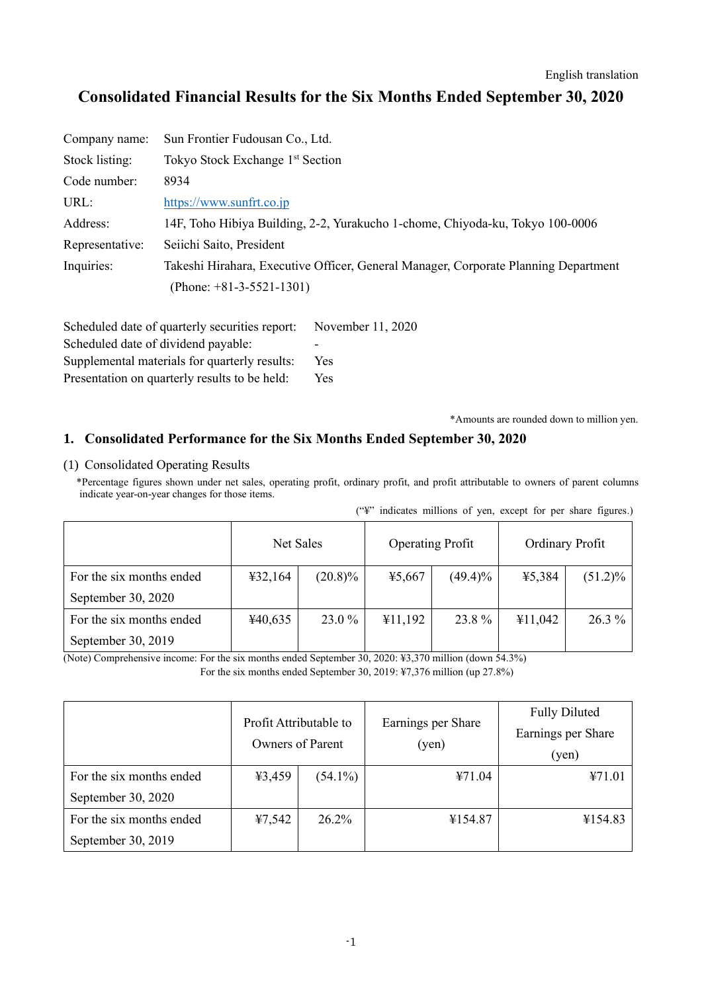# **Consolidated Financial Results for the Six Months Ended September 30, 2020**

| Company name:   | Sun Frontier Fudousan Co., Ltd.                                                     |
|-----------------|-------------------------------------------------------------------------------------|
| Stock listing:  | Tokyo Stock Exchange 1 <sup>st</sup> Section                                        |
| Code number:    | 8934                                                                                |
| URL:            | https://www.sunfrt.co.jp                                                            |
| Address:        | 14F, Toho Hibiya Building, 2-2, Yurakucho 1-chome, Chiyoda-ku, Tokyo 100-0006       |
| Representative: | Seiichi Saito, President                                                            |
| Inquiries:      | Takeshi Hirahara, Executive Officer, General Manager, Corporate Planning Department |
|                 | (Phone: $+81-3-5521-1301$ )                                                         |

| Scheduled date of quarterly securities report: | November 11, 2020 |
|------------------------------------------------|-------------------|
| Scheduled date of dividend payable:            | -                 |
| Supplemental materials for quarterly results:  | Yes               |
| Presentation on quarterly results to be held:  | <b>Yes</b>        |

\*Amounts are rounded down to million yen.

### **1. Consolidated Performance for the Six Months Ended September 30, 2020**

#### (1) Consolidated Operating Results

\*Percentage figures shown under net sales, operating profit, ordinary profit, and profit attributable to owners of parent columns indicate year-on-year changes for those items.

|                          |                                      |            |         |            |         | $(\mathcal{L}^{\mathcal{L}})$ indicates millions of yen, except for per share figures.) |
|--------------------------|--------------------------------------|------------|---------|------------|---------|-----------------------------------------------------------------------------------------|
|                          | Net Sales<br><b>Operating Profit</b> |            |         |            |         | Ordinary Profit                                                                         |
| For the six months ended | 432,164                              | $(20.8)\%$ | 45,667  | $(49.4)\%$ | ¥5,384  | $(51.2)\%$                                                                              |
| September 30, 2020       |                                      |            |         |            |         |                                                                                         |
| For the six months ended | ¥40,635                              | 23.0 %     | ¥11,192 | 23.8%      | ¥11,042 | $26.3\%$                                                                                |
| September 30, 2019       |                                      |            |         |            |         |                                                                                         |

(Note) Comprehensive income: For the six months ended September 30, 2020: ¥3,370 million (down 54.3%)

For the six months ended September 30, 2019: ¥7,376 million (up 27.8%)

|                          | Profit Attributable to<br>Owners of Parent |            | Earnings per Share<br>(yen) | <b>Fully Diluted</b><br>Earnings per Share<br>(yen) |
|--------------------------|--------------------------------------------|------------|-----------------------------|-----------------------------------------------------|
| For the six months ended | 43,459                                     | $(54.1\%)$ | ¥71.04                      | ¥71.01                                              |
| September 30, 2020       |                                            |            |                             |                                                     |
| For the six months ended | 47,542                                     | 26.2%      | ¥154.87                     | ¥154.83                                             |
| September 30, 2019       |                                            |            |                             |                                                     |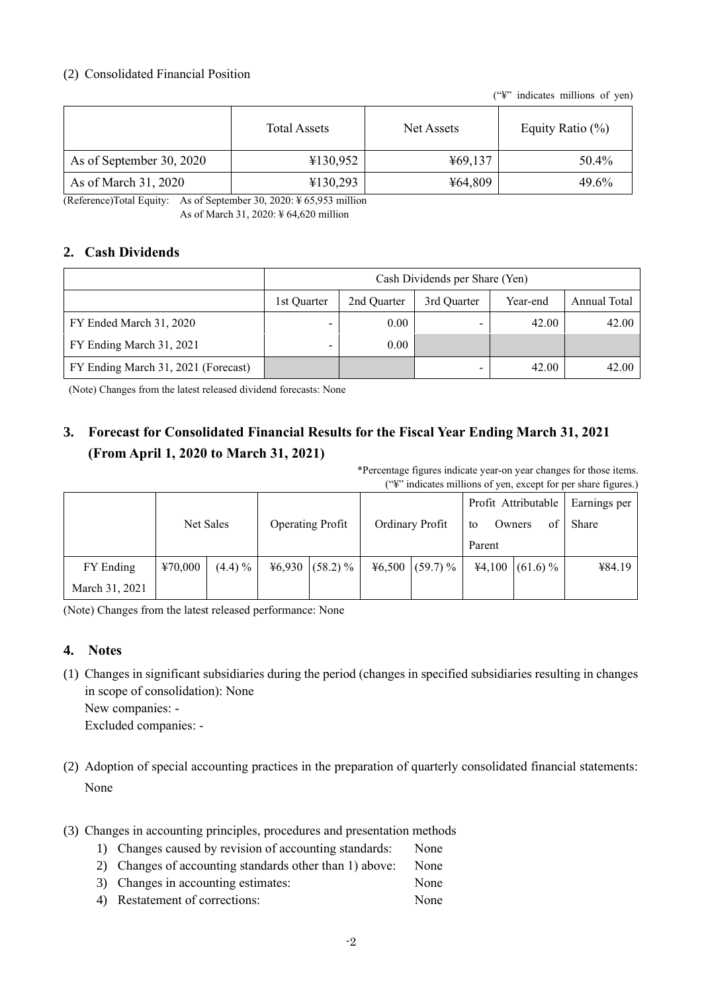### (2) Consolidated Financial Position

("¥" indicates millions of yen)

|                          | <b>Total Assets</b> | Net Assets | Equity Ratio $(\%)$ |
|--------------------------|---------------------|------------|---------------------|
| As of September 30, 2020 | ¥130,952            | ¥69,137    | 50.4%               |
| As of March 31, 2020     | ¥130,293            | ¥64,809    | 49.6%               |

(Reference)Total Equity: As of September 30, 2020: ¥ 65,953 million

As of March 31, 2020: ¥ 64,620 million

## **2. Cash Dividends**

|                                     | Cash Dividends per Share (Yen) |                |             |          |              |  |  |
|-------------------------------------|--------------------------------|----------------|-------------|----------|--------------|--|--|
|                                     | 1st Ouarter                    | 2nd Ouarter    | 3rd Ouarter | Year-end | Annual Total |  |  |
| FY Ended March 31, 2020             |                                | 0.00           | -           | 42.00    | 42.00        |  |  |
| FY Ending March 31, 2021            | -                              | $0.00^{\circ}$ |             |          |              |  |  |
| FY Ending March 31, 2021 (Forecast) |                                |                | -           | 42.00    | 42.00        |  |  |

(Note) Changes from the latest released dividend forecasts: None

# **3. Forecast for Consolidated Financial Results for the Fiscal Year Ending March 31, 2021 (From April 1, 2020 to March 31, 2021)**

\*Percentage figures indicate year-on year changes for those items. ("¥" indicates millions of yen, except for per share figures.)

|                |         |            |        |                         |                   |        | Profit Attributable | Earnings per |
|----------------|---------|------------|--------|-------------------------|-------------------|--------|---------------------|--------------|
|                |         | Net Sales  |        | <b>Operating Profit</b> | Ordinary Profit   | to     | Owners<br>of        | Share        |
|                |         |            |        |                         |                   | Parent |                     |              |
| FY Ending      | ¥70,000 | $(4.4) \%$ | 46,930 | $(58.2)\%$              | $46,500$ (59.7) % |        | $44,100$ (61.6) %   | ¥84.19       |
| March 31, 2021 |         |            |        |                         |                   |        |                     |              |

(Note) Changes from the latest released performance: None

## **4. Notes**

- (1) Changes in significant subsidiaries during the period (changes in specified subsidiaries resulting in changes in scope of consolidation): None New companies: - Excluded companies: -
- (2) Adoption of special accounting practices in the preparation of quarterly consolidated financial statements: None
- (3) Changes in accounting principles, procedures and presentation methods
	- 1) Changes caused by revision of accounting standards: None
	- 2) Changes of accounting standards other than 1) above: None
	- 3) Changes in accounting estimates: None
	- 4) Restatement of corrections: None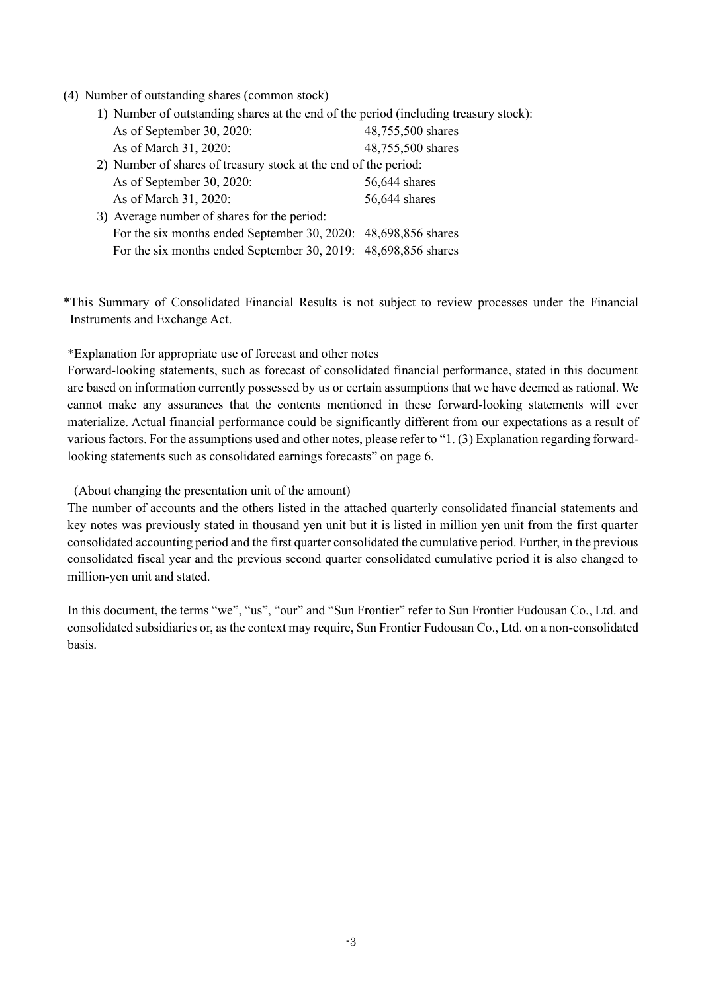#### (4) Number of outstanding shares (common stock)

1) Number of outstanding shares at the end of the period (including treasury stock):

| As of September 30, 2020:                                       | 48,755,500 shares |
|-----------------------------------------------------------------|-------------------|
| As of March 31, 2020:                                           | 48,755,500 shares |
| 2) Number of shares of treasury stock at the end of the period: |                   |
| As of September 30, 2020:                                       | 56,644 shares     |
| As of March 31, 2020:                                           | 56,644 shares     |
| 3) Average number of shares for the period:                     |                   |
| For the six months ended September 30, 2020: 48,698,856 shares  |                   |
| For the six months ended September 30, 2019: 48,698,856 shares  |                   |

\*This Summary of Consolidated Financial Results is not subject to review processes under the Financial Instruments and Exchange Act.

\*Explanation for appropriate use of forecast and other notes

Forward-looking statements, such as forecast of consolidated financial performance, stated in this document are based on information currently possessed by us or certain assumptions that we have deemed as rational. We cannot make any assurances that the contents mentioned in these forward-looking statements will ever materialize. Actual financial performance could be significantly different from our expectations as a result of various factors. For the assumptions used and other notes, please refer to "1. (3) Explanation regarding forwardlooking statements such as consolidated earnings forecasts" on page 6.

(About changing the presentation unit of the amount)

The number of accounts and the others listed in the attached quarterly consolidated financial statements and key notes was previously stated in thousand yen unit but it is listed in million yen unit from the first quarter consolidated accounting period and the first quarter consolidated the cumulative period. Further, in the previous consolidated fiscal year and the previous second quarter consolidated cumulative period it is also changed to million-yen unit and stated.

In this document, the terms "we", "us", "our" and "Sun Frontier" refer to Sun Frontier Fudousan Co., Ltd. and consolidated subsidiaries or, as the context may require, Sun Frontier Fudousan Co., Ltd. on a non-consolidated basis.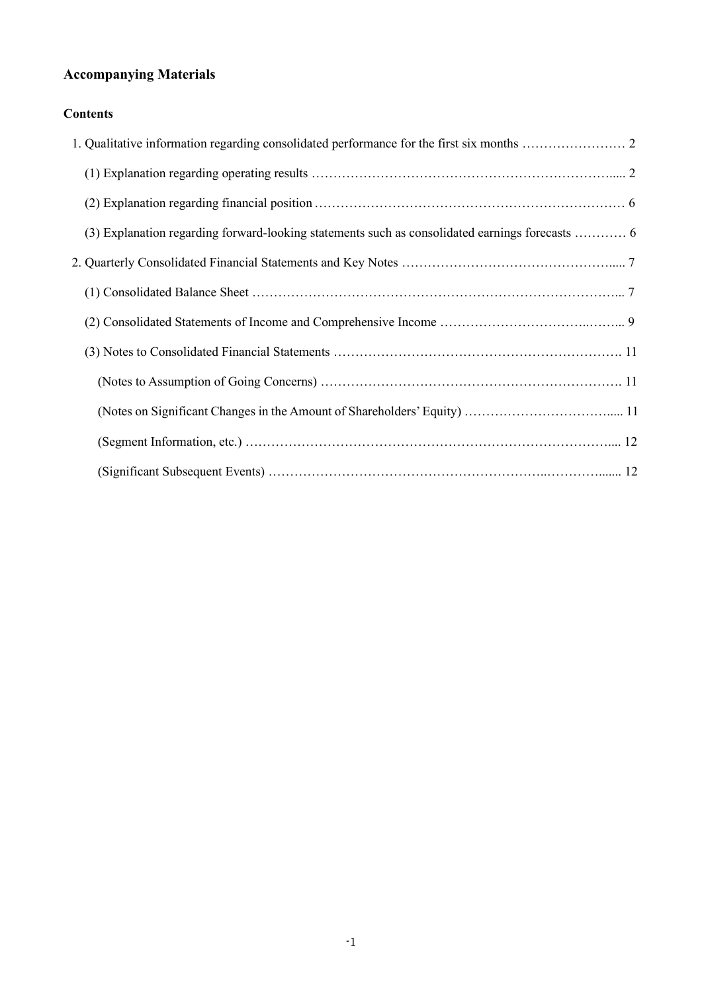# **Accompanying Materials**

# **Contents**

| (3) Explanation regarding forward-looking statements such as consolidated earnings forecasts  6 |  |
|-------------------------------------------------------------------------------------------------|--|
|                                                                                                 |  |
|                                                                                                 |  |
|                                                                                                 |  |
|                                                                                                 |  |
|                                                                                                 |  |
|                                                                                                 |  |
|                                                                                                 |  |
|                                                                                                 |  |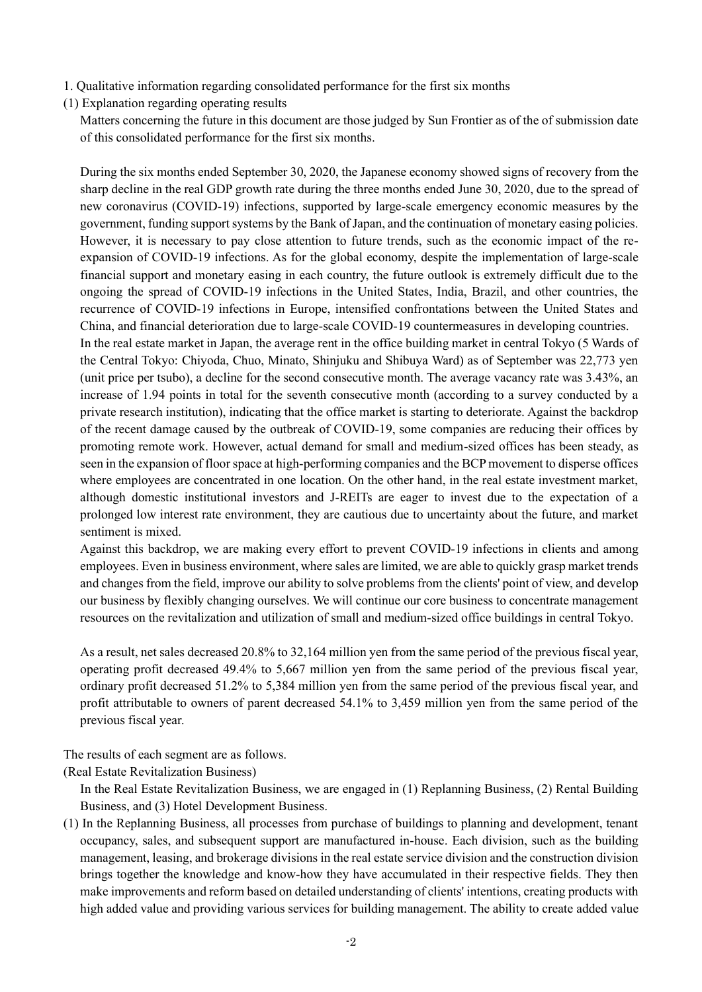- 1. Qualitative information regarding consolidated performance for the first six months
- (1) Explanation regarding operating results

Matters concerning the future in this document are those judged by Sun Frontier as of the of submission date of this consolidated performance for the first six months.

During the six months ended September 30, 2020, the Japanese economy showed signs of recovery from the sharp decline in the real GDP growth rate during the three months ended June 30, 2020, due to the spread of new coronavirus (COVID-19) infections, supported by large-scale emergency economic measures by the government, funding support systems by the Bank of Japan, and the continuation of monetary easing policies. However, it is necessary to pay close attention to future trends, such as the economic impact of the reexpansion of COVID-19 infections. As for the global economy, despite the implementation of large-scale financial support and monetary easing in each country, the future outlook is extremely difficult due to the ongoing the spread of COVID-19 infections in the United States, India, Brazil, and other countries, the recurrence of COVID-19 infections in Europe, intensified confrontations between the United States and China, and financial deterioration due to large-scale COVID-19 countermeasures in developing countries. In the real estate market in Japan, the average rent in the office building market in central Tokyo (5 Wards of the Central Tokyo: Chiyoda, Chuo, Minato, Shinjuku and Shibuya Ward) as of September was 22,773 yen (unit price per tsubo), a decline for the second consecutive month. The average vacancy rate was 3.43%, an increase of 1.94 points in total for the seventh consecutive month (according to a survey conducted by a private research institution), indicating that the office market is starting to deteriorate. Against the backdrop of the recent damage caused by the outbreak of COVID-19, some companies are reducing their offices by

promoting remote work. However, actual demand for small and medium-sized offices has been steady, as seen in the expansion of floor space at high-performing companies and the BCP movement to disperse offices where employees are concentrated in one location. On the other hand, in the real estate investment market, although domestic institutional investors and J-REITs are eager to invest due to the expectation of a prolonged low interest rate environment, they are cautious due to uncertainty about the future, and market sentiment is mixed.

Against this backdrop, we are making every effort to prevent COVID-19 infections in clients and among employees. Even in business environment, where sales are limited, we are able to quickly grasp market trends and changes from the field, improve our ability to solve problems from the clients' point of view, and develop our business by flexibly changing ourselves. We will continue our core business to concentrate management resources on the revitalization and utilization of small and medium-sized office buildings in central Tokyo.

As a result, net sales decreased 20.8% to 32,164 million yen from the same period of the previous fiscal year, operating profit decreased 49.4% to 5,667 million yen from the same period of the previous fiscal year, ordinary profit decreased 51.2% to 5,384 million yen from the same period of the previous fiscal year, and profit attributable to owners of parent decreased 54.1% to 3,459 million yen from the same period of the previous fiscal year.

The results of each segment are as follows.

(Real Estate Revitalization Business)

In the Real Estate Revitalization Business, we are engaged in (1) Replanning Business, (2) Rental Building Business, and (3) Hotel Development Business.

(1) In the Replanning Business, all processes from purchase of buildings to planning and development, tenant occupancy, sales, and subsequent support are manufactured in-house. Each division, such as the building management, leasing, and brokerage divisions in the real estate service division and the construction division brings together the knowledge and know-how they have accumulated in their respective fields. They then make improvements and reform based on detailed understanding of clients' intentions, creating products with high added value and providing various services for building management. The ability to create added value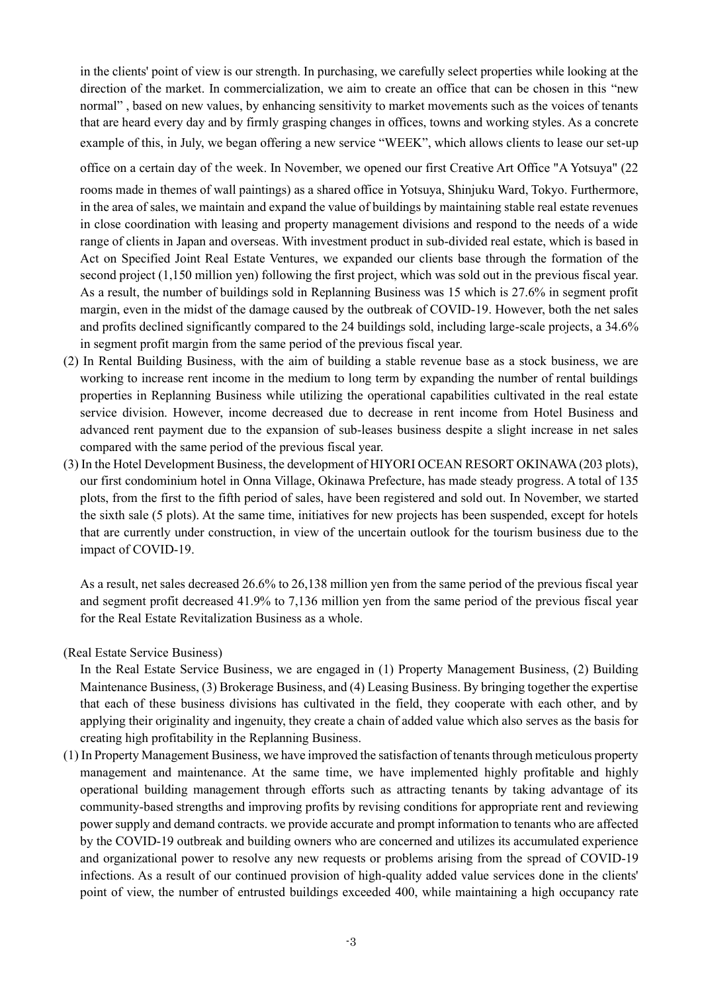in the clients' point of view is our strength. In purchasing, we carefully select properties while looking at the direction of the market. In commercialization, we aim to create an office that can be chosen in this "new normal" , based on new values, by enhancing sensitivity to market movements such as the voices of tenants that are heard every day and by firmly grasping changes in offices, towns and working styles. As a concrete example of this, in July, we began offering a new service "WEEK", which allows clients to lease our set-up

office on a certain day of the week. In November, we opened our first Creative Art Office "A Yotsuya" (22

rooms made in themes of wall paintings) as a shared office in Yotsuya, Shinjuku Ward, Tokyo. Furthermore, in the area of sales, we maintain and expand the value of buildings by maintaining stable real estate revenues in close coordination with leasing and property management divisions and respond to the needs of a wide range of clients in Japan and overseas. With investment product in sub-divided real estate, which is based in Act on Specified Joint Real Estate Ventures, we expanded our clients base through the formation of the second project (1,150 million yen) following the first project, which was sold out in the previous fiscal year. As a result, the number of buildings sold in Replanning Business was 15 which is 27.6% in segment profit margin, even in the midst of the damage caused by the outbreak of COVID-19. However, both the net sales and profits declined significantly compared to the 24 buildings sold, including large-scale projects, a 34.6% in segment profit margin from the same period of the previous fiscal year.

- (2) In Rental Building Business, with the aim of building a stable revenue base as a stock business, we are working to increase rent income in the medium to long term by expanding the number of rental buildings properties in Replanning Business while utilizing the operational capabilities cultivated in the real estate service division. However, income decreased due to decrease in rent income from Hotel Business and advanced rent payment due to the expansion of sub-leases business despite a slight increase in net sales compared with the same period of the previous fiscal year.
- (3) In the Hotel Development Business, the development of HIYORI OCEAN RESORT OKINAWA (203 plots), our first condominium hotel in Onna Village, Okinawa Prefecture, has made steady progress. A total of 135 plots, from the first to the fifth period of sales, have been registered and sold out. In November, we started the sixth sale (5 plots). At the same time, initiatives for new projects has been suspended, except for hotels that are currently under construction, in view of the uncertain outlook for the tourism business due to the impact of COVID-19.

As a result, net sales decreased 26.6% to 26,138 million yen from the same period of the previous fiscal year and segment profit decreased 41.9% to 7,136 million yen from the same period of the previous fiscal year for the Real Estate Revitalization Business as a whole.

(Real Estate Service Business)

In the Real Estate Service Business, we are engaged in (1) Property Management Business, (2) Building Maintenance Business, (3) Brokerage Business, and (4) Leasing Business. By bringing together the expertise that each of these business divisions has cultivated in the field, they cooperate with each other, and by applying their originality and ingenuity, they create a chain of added value which also serves as the basis for creating high profitability in the Replanning Business.

(1) In Property Management Business, we have improved the satisfaction of tenants through meticulous property management and maintenance. At the same time, we have implemented highly profitable and highly operational building management through efforts such as attracting tenants by taking advantage of its community-based strengths and improving profits by revising conditions for appropriate rent and reviewing power supply and demand contracts. we provide accurate and prompt information to tenants who are affected by the COVID-19 outbreak and building owners who are concerned and utilizes its accumulated experience and organizational power to resolve any new requests or problems arising from the spread of COVID-19 infections. As a result of our continued provision of high-quality added value services done in the clients' point of view, the number of entrusted buildings exceeded 400, while maintaining a high occupancy rate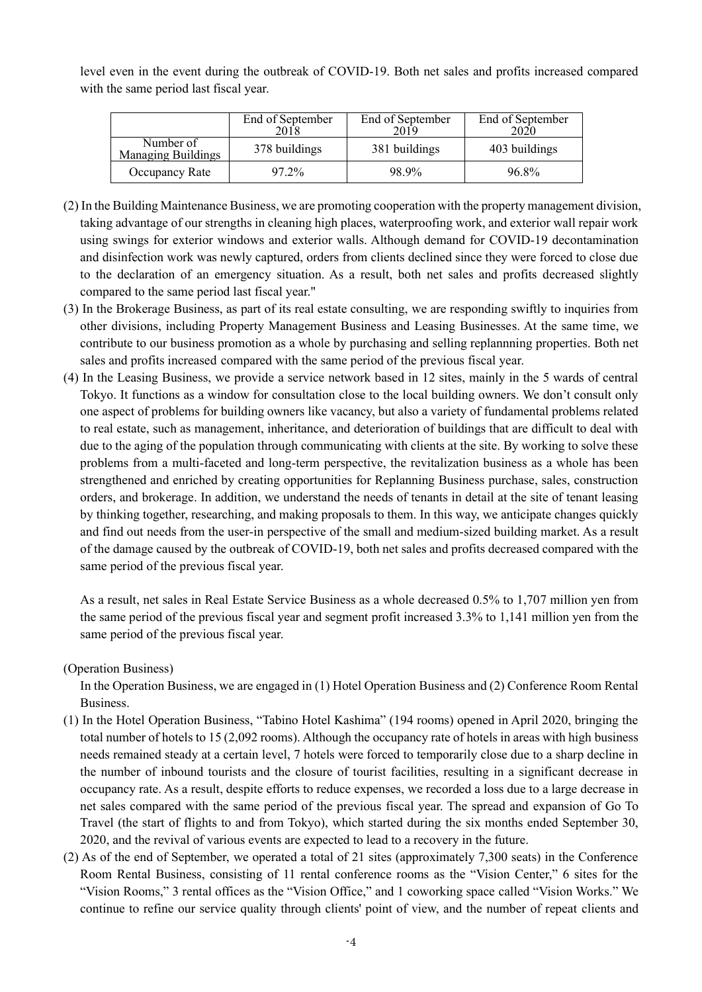level even in the event during the outbreak of COVID-19. Both net sales and profits increased compared with the same period last fiscal year.

|                                        | End of September<br>2018 | End of September<br>2019 | End of September |
|----------------------------------------|--------------------------|--------------------------|------------------|
| Number of<br><b>Managing Buildings</b> | 378 buildings            | 381 buildings            | 403 buildings    |
| Occupancy Rate                         | 97.2%                    | 98.9%                    | 96.8%            |

- (2) In the Building Maintenance Business, we are promoting cooperation with the property management division, taking advantage of our strengths in cleaning high places, waterproofing work, and exterior wall repair work using swings for exterior windows and exterior walls. Although demand for COVID-19 decontamination and disinfection work was newly captured, orders from clients declined since they were forced to close due to the declaration of an emergency situation. As a result, both net sales and profits decreased slightly compared to the same period last fiscal year."
- (3) In the Brokerage Business, as part of its real estate consulting, we are responding swiftly to inquiries from other divisions, including Property Management Business and Leasing Businesses. At the same time, we contribute to our business promotion as a whole by purchasing and selling replannning properties. Both net sales and profits increased compared with the same period of the previous fiscal year.
- (4) In the Leasing Business, we provide a service network based in 12 sites, mainly in the 5 wards of central Tokyo. It functions as a window for consultation close to the local building owners. We don't consult only one aspect of problems for building owners like vacancy, but also a variety of fundamental problems related to real estate, such as management, inheritance, and deterioration of buildings that are difficult to deal with due to the aging of the population through communicating with clients at the site. By working to solve these problems from a multi-faceted and long-term perspective, the revitalization business as a whole has been strengthened and enriched by creating opportunities for Replanning Business purchase, sales, construction orders, and brokerage. In addition, we understand the needs of tenants in detail at the site of tenant leasing by thinking together, researching, and making proposals to them. In this way, we anticipate changes quickly and find out needs from the user-in perspective of the small and medium-sized building market. As a result of the damage caused by the outbreak of COVID-19, both net sales and profits decreased compared with the same period of the previous fiscal year.

As a result, net sales in Real Estate Service Business as a whole decreased 0.5% to 1,707 million yen from the same period of the previous fiscal year and segment profit increased 3.3% to 1,141 million yen from the same period of the previous fiscal year.

#### (Operation Business)

In the Operation Business, we are engaged in (1) Hotel Operation Business and (2) Conference Room Rental Business.

- (1) In the Hotel Operation Business, "Tabino Hotel Kashima" (194 rooms) opened in April 2020, bringing the total number of hotels to 15 (2,092 rooms). Although the occupancy rate of hotels in areas with high business needs remained steady at a certain level, 7 hotels were forced to temporarily close due to a sharp decline in the number of inbound tourists and the closure of tourist facilities, resulting in a significant decrease in occupancy rate. As a result, despite efforts to reduce expenses, we recorded a loss due to a large decrease in net sales compared with the same period of the previous fiscal year. The spread and expansion of Go To Travel (the start of flights to and from Tokyo), which started during the six months ended September 30, 2020, and the revival of various events are expected to lead to a recovery in the future.
- (2) As of the end of September, we operated a total of 21 sites (approximately 7,300 seats) in the Conference Room Rental Business, consisting of 11 rental conference rooms as the "Vision Center," 6 sites for the "Vision Rooms," 3 rental offices as the "Vision Office," and 1 coworking space called "Vision Works." We continue to refine our service quality through clients' point of view, and the number of repeat clients and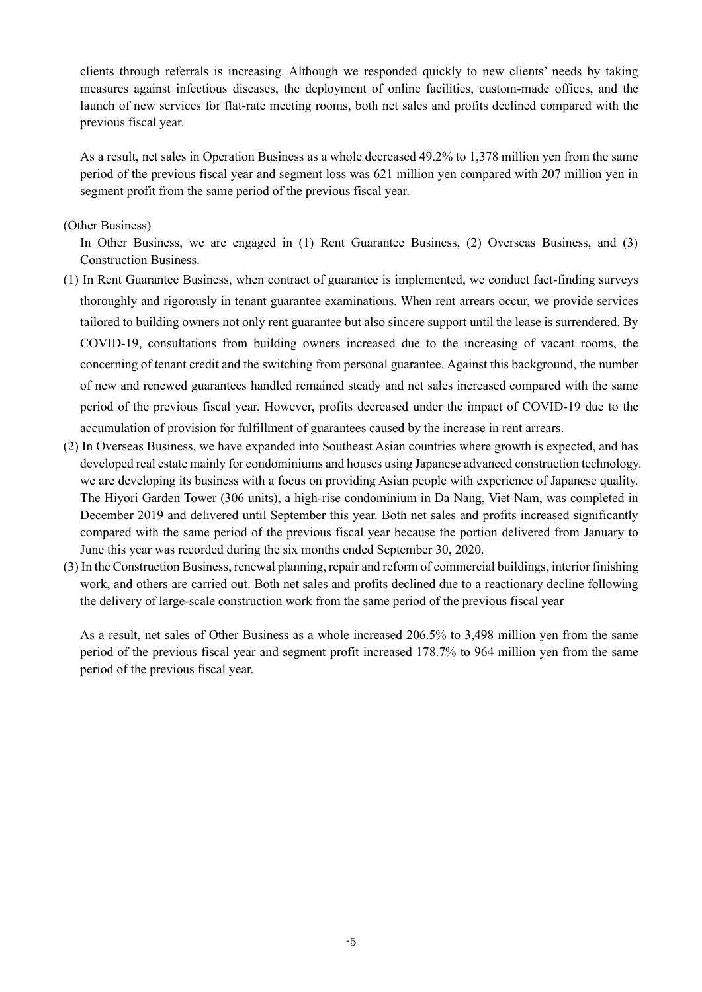clients through referrals is increasing. Although we responded quickly to new clients' needs by taking measures against infectious diseases, the deployment of online facilities, custom-made offices, and the launch of new services for flat-rate meeting rooms, both net sales and profits declined compared with the previous fiscal year.

As a result, net sales in Operation Business as a whole decreased 49.2% to 1,378 million yen from the same period of the previous fiscal year and segment loss was 621 million yen compared with 207 million yen in segment profit from the same period of the previous fiscal year.

#### (Other Business)

In Other Business, we are engaged in (1) Rent Guarantee Business, (2) Overseas Business, and (3) Construction Business.

- (1) In Rent Guarantee Business, when contract of guarantee is implemented, we conduct fact-finding surveys thoroughly and rigorously in tenant guarantee examinations. When rent arrears occur, we provide services tailored to building owners not only rent guarantee but also sincere support until the lease is surrendered. By COVID-19, consultations from building owners increased due to the increasing of vacant rooms, the concerning of tenant credit and the switching from personal guarantee. Against this background, the number of new and renewed guarantees handled remained steady and net sales increased compared with the same period of the previous fiscal year. However, profits decreased under the impact of COVID-19 due to the accumulation of provision for fulfillment of guarantees caused by the increase in rent arrears.
- (2) In Overseas Business, we have expanded into Southeast Asian countries where growth is expected, and has developed real estate mainly for condominiums and houses using Japanese advanced construction technology. we are developing its business with a focus on providing Asian people with experience of Japanese quality. The Hiyori Garden Tower (306 units), a high-rise condominium in Da Nang, Viet Nam, was completed in December 2019 and delivered until September this year. Both net sales and profits increased significantly compared with the same period of the previous fiscal year because the portion delivered from January to June this year was recorded during the six months ended September 30, 2020.
- (3) In the Construction Business, renewal planning, repair and reform of commercial buildings, interior finishing work, and others are carried out. Both net sales and profits declined due to a reactionary decline following the delivery of large-scale construction work from the same period of the previous fiscal year

As a result, net sales of Other Business as a whole increased 206.5% to 3,498 million yen from the same period of the previous fiscal year and segment profit increased 178.7% to 964 million yen from the same period of the previous fiscal year.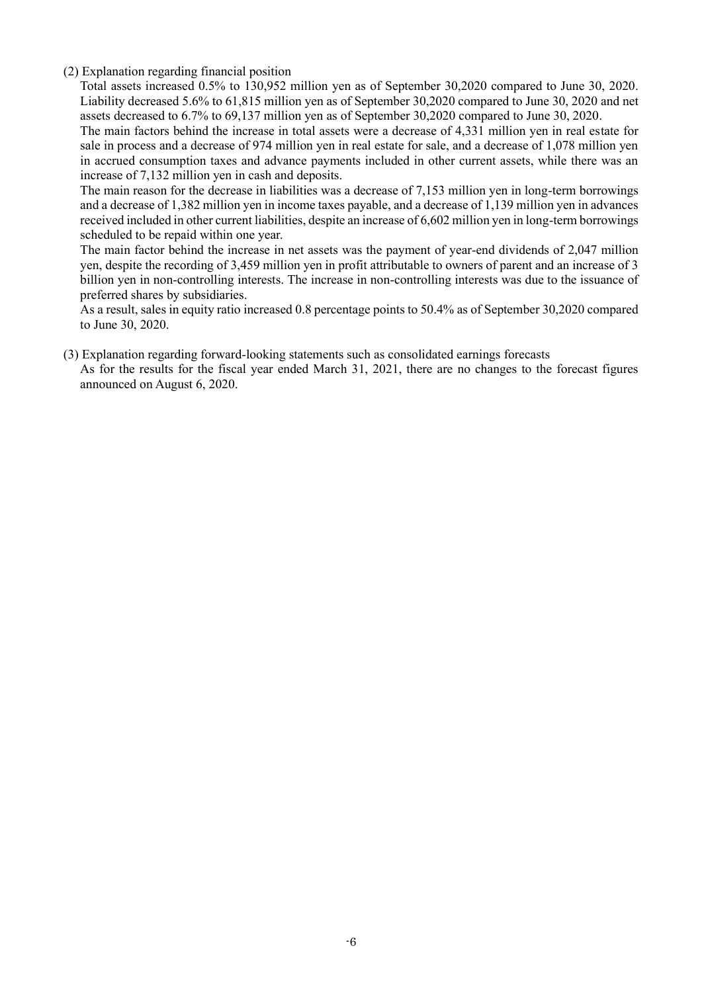(2) Explanation regarding financial position

Total assets increased 0.5% to 130,952 million yen as of September 30,2020 compared to June 30, 2020. Liability decreased 5.6% to 61,815 million yen as of September 30,2020 compared to June 30, 2020 and net assets decreased to 6.7% to 69,137 million yen as of September 30,2020 compared to June 30, 2020.

The main factors behind the increase in total assets were a decrease of 4,331 million yen in real estate for sale in process and a decrease of 974 million yen in real estate for sale, and a decrease of 1,078 million yen in accrued consumption taxes and advance payments included in other current assets, while there was an increase of 7,132 million yen in cash and deposits.

The main reason for the decrease in liabilities was a decrease of 7,153 million yen in long-term borrowings and a decrease of 1,382 million yen in income taxes payable, and a decrease of 1,139 million yen in advances received included in other current liabilities, despite an increase of 6,602 million yen in long-term borrowings scheduled to be repaid within one year.

The main factor behind the increase in net assets was the payment of year-end dividends of 2,047 million yen, despite the recording of 3,459 million yen in profit attributable to owners of parent and an increase of 3 billion yen in non-controlling interests. The increase in non-controlling interests was due to the issuance of preferred shares by subsidiaries.

As a result, sales in equity ratio increased 0.8 percentage points to 50.4% as of September 30,2020 compared to June 30, 2020.

(3) Explanation regarding forward-looking statements such as consolidated earnings forecasts As for the results for the fiscal year ended March 31, 2021, there are no changes to the forecast figures announced on August 6, 2020.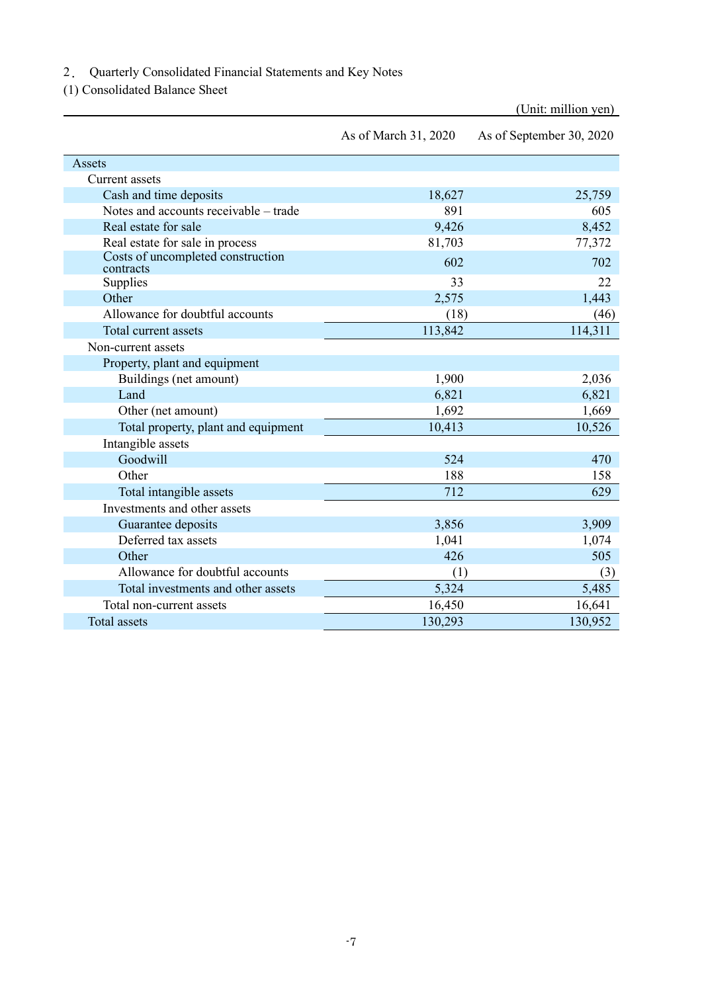2. Quarterly Consolidated Financial Statements and Key Notes

(1) Consolidated Balance Sheet

|                                                | As of March 31, 2020 | As of September 30, 2020 |
|------------------------------------------------|----------------------|--------------------------|
| Assets                                         |                      |                          |
| <b>Current</b> assets                          |                      |                          |
| Cash and time deposits                         | 18,627               | 25,759                   |
| Notes and accounts receivable – trade          | 891                  | 605                      |
| Real estate for sale                           | 9,426                | 8,452                    |
| Real estate for sale in process                | 81,703               | 77,372                   |
| Costs of uncompleted construction<br>contracts | 602                  | 702                      |
| Supplies                                       | 33                   | 22                       |
| Other                                          | 2,575                | 1,443                    |
| Allowance for doubtful accounts                | (18)                 | (46)                     |
| Total current assets                           | 113,842              | 114,311                  |
| Non-current assets                             |                      |                          |
| Property, plant and equipment                  |                      |                          |
| Buildings (net amount)                         | 1,900                | 2,036                    |
| Land                                           | 6,821                | 6,821                    |
| Other (net amount)                             | 1,692                | 1,669                    |
| Total property, plant and equipment            | 10,413               | 10,526                   |
| Intangible assets                              |                      |                          |
| Goodwill                                       | 524                  | 470                      |
| Other                                          | 188                  | 158                      |
| Total intangible assets                        | 712                  | 629                      |
| Investments and other assets                   |                      |                          |
| Guarantee deposits                             | 3,856                | 3,909                    |
| Deferred tax assets                            | 1,041                | 1,074                    |
| Other                                          | 426                  | 505                      |
| Allowance for doubtful accounts                | (1)                  | (3)                      |
| Total investments and other assets             | 5,324                | 5,485                    |
| Total non-current assets                       | 16,450               | 16,641                   |
| <b>Total</b> assets                            | 130,293              | 130,952                  |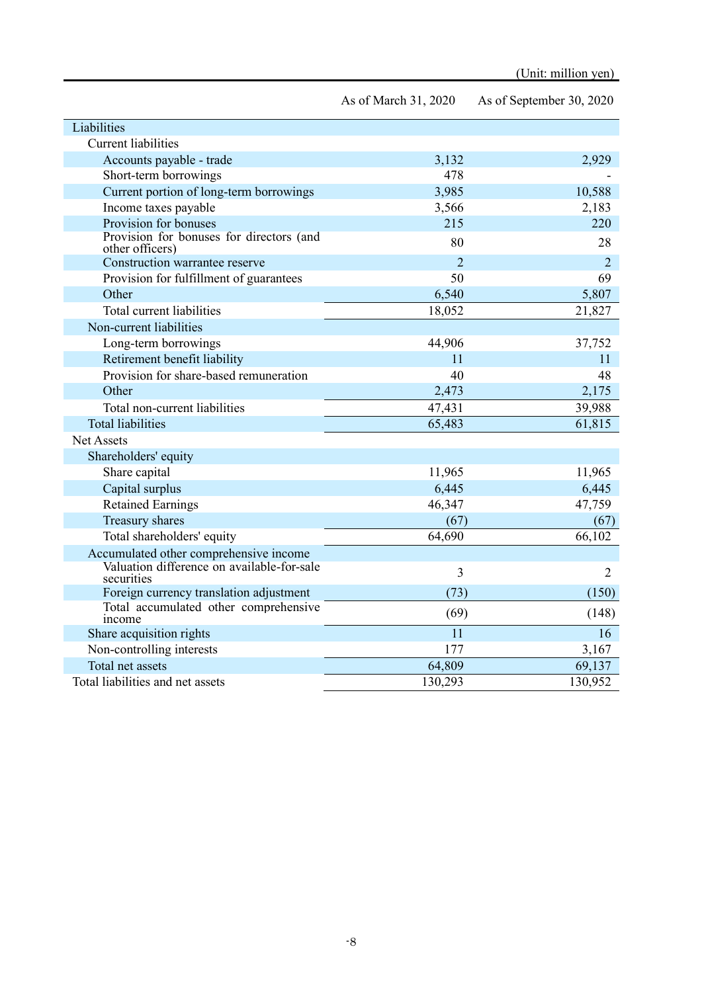| Liabilities                                                 |                |                |
|-------------------------------------------------------------|----------------|----------------|
| <b>Current liabilities</b>                                  |                |                |
| Accounts payable - trade                                    | 3,132          | 2,929          |
| Short-term borrowings                                       | 478            |                |
| Current portion of long-term borrowings                     | 3,985          | 10,588         |
| Income taxes payable                                        | 3,566          | 2,183          |
| Provision for bonuses                                       | 215            | 220            |
| Provision for bonuses for directors (and<br>other officers) | 80             | 28             |
| Construction warrantee reserve                              | $\overline{2}$ | $\overline{2}$ |
| Provision for fulfillment of guarantees                     | 50             | 69             |
| Other                                                       | 6,540          | 5,807          |
| Total current liabilities                                   | 18,052         | 21,827         |
| Non-current liabilities                                     |                |                |
| Long-term borrowings                                        | 44,906         | 37,752         |
| Retirement benefit liability                                | 11             | 11             |
| Provision for share-based remuneration                      | 40             | 48             |
| Other                                                       | 2,473          | 2,175          |
| Total non-current liabilities                               | 47,431         | 39,988         |
| <b>Total liabilities</b>                                    | 65,483         | 61,815         |
| <b>Net Assets</b>                                           |                |                |
| Shareholders' equity                                        |                |                |
| Share capital                                               | 11,965         | 11,965         |
| Capital surplus                                             | 6,445          | 6,445          |
| <b>Retained Earnings</b>                                    | 46,347         | 47,759         |
| Treasury shares                                             | (67)           | (67)           |
| Total shareholders' equity                                  | 64,690         | 66,102         |
| Accumulated other comprehensive income                      |                |                |
| Valuation difference on available-for-sale<br>securities    | 3              | $\overline{2}$ |
| Foreign currency translation adjustment                     | (73)           | (150)          |
| Total accumulated other comprehensive<br>income             | (69)           | (148)          |
| Share acquisition rights                                    | 11             | 16             |
| Non-controlling interests                                   | 177            | 3,167          |
| Total net assets                                            | 64,809         | 69,137         |
| Total liabilities and net assets                            | 130,293        | 130,952        |

As of March 31, 2020 As of September 30, 2020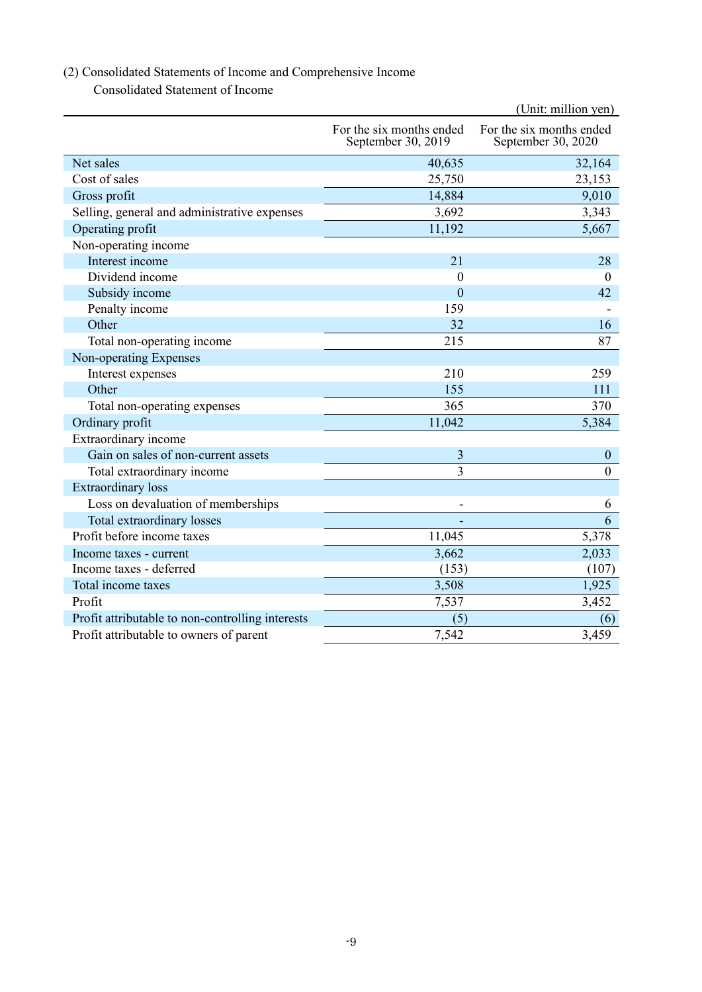## (2) Consolidated Statements of Income and Comprehensive Income

Consolidated Statement of Income

|                                                  | (Unit: million yen)                            |                                                |  |  |  |
|--------------------------------------------------|------------------------------------------------|------------------------------------------------|--|--|--|
|                                                  | For the six months ended<br>September 30, 2019 | For the six months ended<br>September 30, 2020 |  |  |  |
| Net sales                                        | 40,635                                         | 32,164                                         |  |  |  |
| Cost of sales                                    | 25,750                                         | 23,153                                         |  |  |  |
| Gross profit                                     | 14,884                                         | 9,010                                          |  |  |  |
| Selling, general and administrative expenses     | 3,692                                          | 3,343                                          |  |  |  |
| Operating profit                                 | 11,192                                         | 5,667                                          |  |  |  |
| Non-operating income                             |                                                |                                                |  |  |  |
| Interest income                                  | 21                                             | 28                                             |  |  |  |
| Dividend income                                  | $\boldsymbol{0}$                               | $\theta$                                       |  |  |  |
| Subsidy income                                   | $\overline{0}$                                 | 42                                             |  |  |  |
| Penalty income                                   | 159                                            |                                                |  |  |  |
| Other                                            | 32                                             | 16                                             |  |  |  |
| Total non-operating income                       | 215                                            | 87                                             |  |  |  |
| Non-operating Expenses                           |                                                |                                                |  |  |  |
| Interest expenses                                | 210                                            | 259                                            |  |  |  |
| Other                                            | 155                                            | 111                                            |  |  |  |
| Total non-operating expenses                     | 365                                            | 370                                            |  |  |  |
| Ordinary profit                                  | 11,042                                         | 5,384                                          |  |  |  |
| Extraordinary income                             |                                                |                                                |  |  |  |
| Gain on sales of non-current assets              | 3                                              | $\boldsymbol{0}$                               |  |  |  |
| Total extraordinary income                       | 3                                              | $\mathbf{0}$                                   |  |  |  |
| <b>Extraordinary</b> loss                        |                                                |                                                |  |  |  |
| Loss on devaluation of memberships               |                                                | 6                                              |  |  |  |
| Total extraordinary losses                       |                                                | 6                                              |  |  |  |
| Profit before income taxes                       | 11,045                                         | 5,378                                          |  |  |  |
| Income taxes - current                           | 3,662                                          | 2,033                                          |  |  |  |
| Income taxes - deferred                          | (153)                                          | (107)                                          |  |  |  |
| Total income taxes                               | 3,508                                          | 1,925                                          |  |  |  |
| Profit                                           | 7,537                                          | 3,452                                          |  |  |  |
| Profit attributable to non-controlling interests | (5)                                            | (6)                                            |  |  |  |
| Profit attributable to owners of parent          | 7,542                                          | 3,459                                          |  |  |  |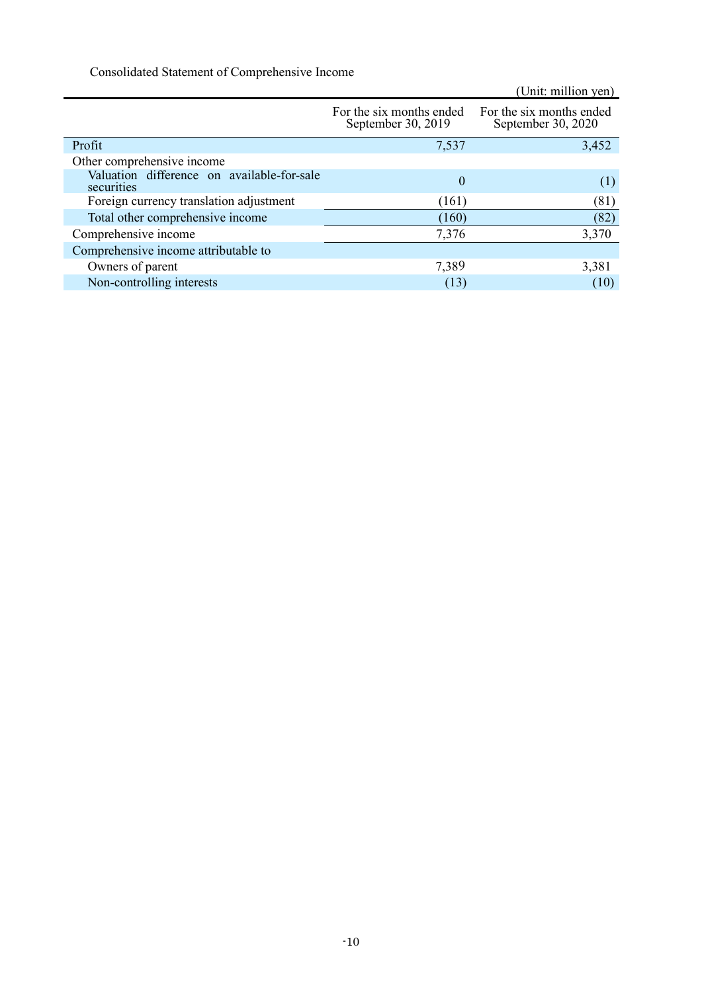Consolidated Statement of Comprehensive Income

|                                                          |                                                | (Unit: million yen)                            |
|----------------------------------------------------------|------------------------------------------------|------------------------------------------------|
|                                                          | For the six months ended<br>September 30, 2019 | For the six months ended<br>September 30, 2020 |
| Profit                                                   | 7,537                                          | 3,452                                          |
| Other comprehensive income                               |                                                |                                                |
| Valuation difference on available-for-sale<br>securities | $\theta$                                       | (1)                                            |
| Foreign currency translation adjustment                  | (161)                                          | (81)                                           |
| Total other comprehensive income                         | (160)                                          | (82)                                           |
| Comprehensive income                                     | 7,376                                          | 3,370                                          |
| Comprehensive income attributable to                     |                                                |                                                |
| Owners of parent                                         | 7,389                                          | 3,381                                          |
| Non-controlling interests                                | (13)                                           | (10)                                           |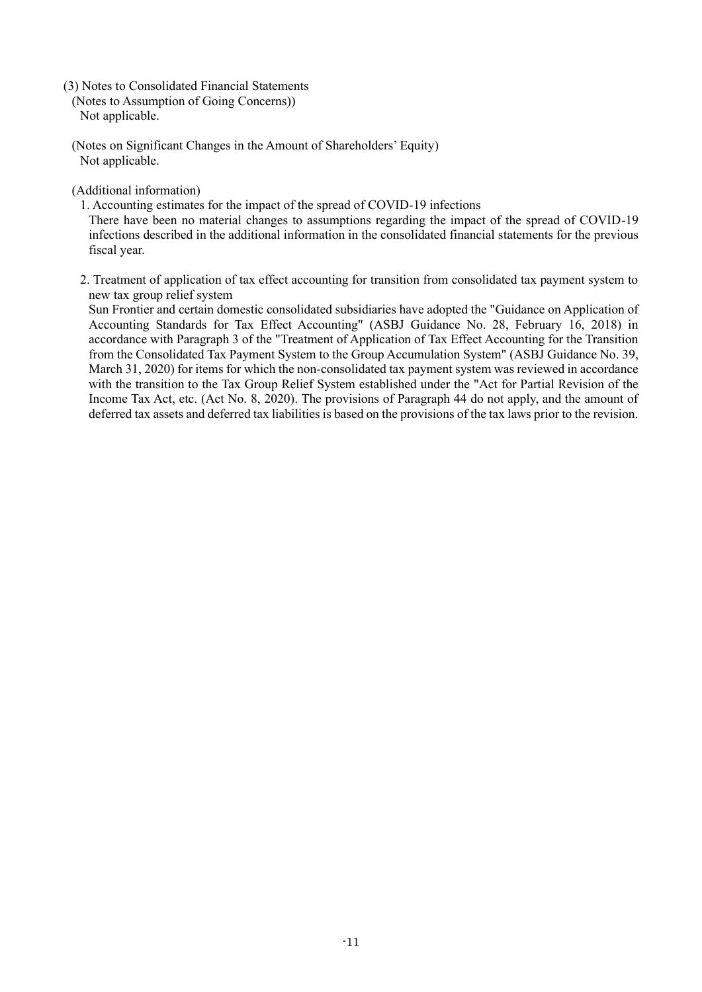- (3) Notes to Consolidated Financial Statements
	- (Notes to Assumption of Going Concerns)) Not applicable.
	- (Notes on Significant Changes in the Amount of Shareholders' Equity) Not applicable.

(Additional information)

- 1. Accounting estimates for the impact of the spread of COVID-19 infections There have been no material changes to assumptions regarding the impact of the spread of COVID-19 infections described in the additional information in the consolidated financial statements for the previous fiscal year.
- 2. Treatment of application of tax effect accounting for transition from consolidated tax payment system to new tax group relief system

Sun Frontier and certain domestic consolidated subsidiaries have adopted the "Guidance on Application of Accounting Standards for Tax Effect Accounting" (ASBJ Guidance No. 28, February 16, 2018) in accordance with Paragraph 3 of the "Treatment of Application of Tax Effect Accounting for the Transition from the Consolidated Tax Payment System to the Group Accumulation System" (ASBJ Guidance No. 39, March 31, 2020) for items for which the non-consolidated tax payment system was reviewed in accordance with the transition to the Tax Group Relief System established under the "Act for Partial Revision of the Income Tax Act, etc. (Act No. 8, 2020). The provisions of Paragraph 44 do not apply, and the amount of deferred tax assets and deferred tax liabilities is based on the provisions of the tax laws prior to the revision.